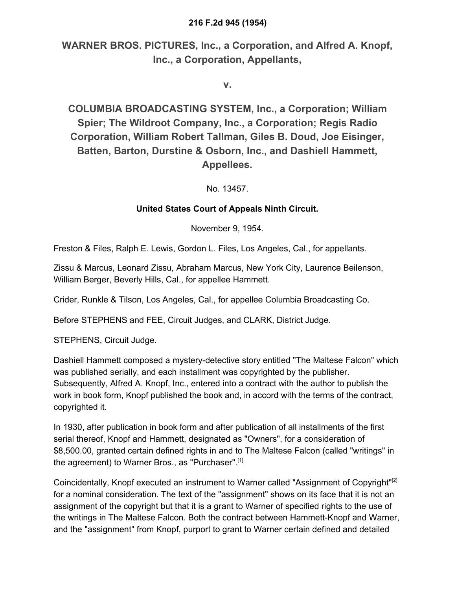## **216 F.2d 945 (1954)**

**WARNER BROS. PICTURES, Inc., a Corporation, and Alfred A. Knopf, Inc., a Corporation, Appellants,**

**v.**

**COLUMBIA BROADCASTING SYSTEM, Inc., a Corporation; William Spier; The Wildroot Company, Inc., a Corporation; Regis Radio Corporation, William Robert Tallman, Giles B. Doud, Joe Eisinger, Batten, Barton, Durstine & Osborn, Inc., and Dashiell Hammett, Appellees.**

No. 13457.

## **United States Court of Appeals Ninth Circuit.**

November 9, 1954.

Freston & Files, Ralph E. Lewis, Gordon L. Files, Los Angeles, Cal., for appellants.

Zissu & Marcus, Leonard Zissu, Abraham Marcus, New York City, Laurence Beilenson, William Berger, Beverly Hills, Cal., for appellee Hammett.

Crider, Runkle & Tilson, Los Angeles, Cal., for appellee Columbia Broadcasting Co.

Before STEPHENS and FEE, Circuit Judges, and CLARK, District Judge.

STEPHENS, Circuit Judge.

Dashiell Hammett composed a mystery-detective story entitled "The Maltese Falcon" which was published serially, and each installment was copyrighted by the publisher. Subsequently, Alfred A. Knopf, Inc., entered into a contract with the author to publish the work in book form, Knopf published the book and, in accord with the terms of the contract, copyrighted it.

In 1930, after publication in book form and after publication of all installments of the first serial thereof, Knopf and Hammett, designated as "Owners", for a consideration of \$8,500.00, granted certain defined rights in and to The Maltese Falcon (called "writings" in the agreement) to Warner Bros., as "Purchaser".<sup>[1]</sup>

Coincidentally, Knopf executed an instrument to Warner called "Assignment of Copyright"<sup>[2]</sup> for a nominal consideration. The text of the "assignment" shows on its face that it is not an assignment of the copyright but that it is a grant to Warner of specified rights to the use of the writings in The Maltese Falcon. Both the contract between Hammett-Knopf and Warner, and the "assignment" from Knopf, purport to grant to Warner certain defined and detailed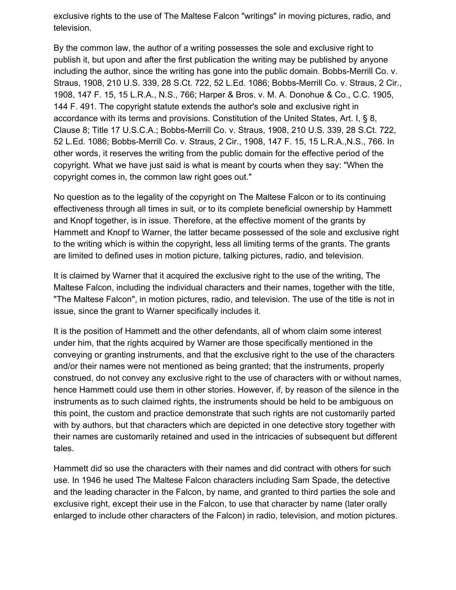exclusive rights to the use of The Maltese Falcon "writings" in moving pictures, radio, and television.

By the common law, the author of a writing possesses the sole and exclusive right to publish it, but upon and after the first publication the writing may be published by anyone including the author, since the writing has gone into the public domain. Bobbs-Merrill Co. v. Straus, 1908, 210 U.S. 339, 28 S.Ct. 722, 52 L.Ed. 1086; Bobbs-Merrill Co. v. Straus, 2 Cir., 1908, 147 F. 15, 15 L.R.A., N.S., 766; Harper & Bros. v. M. A. Donohue & Co., C.C. 1905, 144 F. 491. The copyright statute extends the author's sole and exclusive right in accordance with its terms and provisions. Constitution of the United States, Art. I, § 8, Clause 8; Title 17 U.S.C.A.; Bobbs-Merrill Co. v. Straus, 1908, 210 U.S. 339, 28 S.Ct. 722, 52 L.Ed. 1086; Bobbs-Merrill Co. v. Straus, 2 Cir., 1908, 147 F. 15, 15 L.R.A.,N.S., 766. In other words, it reserves the writing from the public domain for the effective period of the copyright. What we have just said is what is meant by courts when they say: "When the copyright comes in, the common law right goes out."

No question as to the legality of the copyright on The Maltese Falcon or to its continuing effectiveness through all times in suit, or to its complete beneficial ownership by Hammett and Knopf together, is in issue. Therefore, at the effective moment of the grants by Hammett and Knopf to Warner, the latter became possessed of the sole and exclusive right to the writing which is within the copyright, less all limiting terms of the grants. The grants are limited to defined uses in motion picture, talking pictures, radio, and television.

It is claimed by Warner that it acquired the exclusive right to the use of the writing, The Maltese Falcon, including the individual characters and their names, together with the title, "The Maltese Falcon", in motion pictures, radio, and television. The use of the title is not in issue, since the grant to Warner specifically includes it.

It is the position of Hammett and the other defendants, all of whom claim some interest under him, that the rights acquired by Warner are those specifically mentioned in the conveying or granting instruments, and that the exclusive right to the use of the characters and/or their names were not mentioned as being granted; that the instruments, properly construed, do not convey any exclusive right to the use of characters with or without names, hence Hammett could use them in other stories. However, if, by reason of the silence in the instruments as to such claimed rights, the instruments should be held to be ambiguous on this point, the custom and practice demonstrate that such rights are not customarily parted with by authors, but that characters which are depicted in one detective story together with their names are customarily retained and used in the intricacies of subsequent but different tales.

Hammett did so use the characters with their names and did contract with others for such use. In 1946 he used The Maltese Falcon characters including Sam Spade, the detective and the leading character in the Falcon, by name, and granted to third parties the sole and exclusive right, except their use in the Falcon, to use that character by name (later orally enlarged to include other characters of the Falcon) in radio, television, and motion pictures.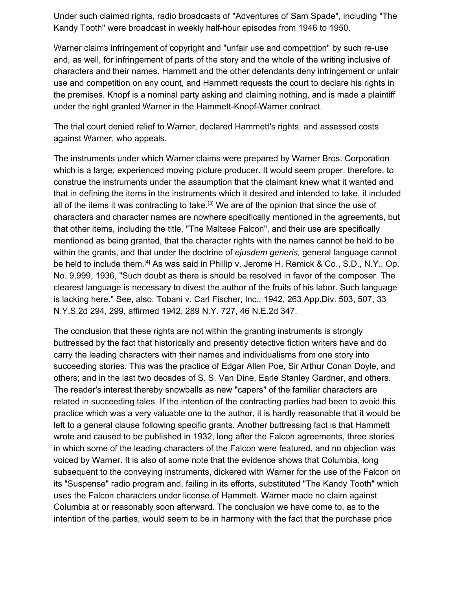Under such claimed rights, radio broadcasts of "Adventures of Sam Spade", including "The Kandy Tooth" were broadcast in weekly half-hour episodes from 1946 to 1950.

Warner claims infringement of copyright and "unfair use and competition" by such re-use and, as well, for infringement of parts of the story and the whole of the writing inclusive of characters and their names. Hammett and the other defendants deny infringement or unfair use and competition on any count, and Hammett requests the court to declare his rights in the premises. Knopf is a nominal party asking and claiming nothing, and is made a plaintiff under the right granted Warner in the Hammett-Knopf-Warner contract.

The trial court denied relief to Warner, declared Hammett's rights, and assessed costs against Warner, who appeals.

The instruments under which Warner claims were prepared by Warner Bros. Corporation which is a large, experienced moving picture producer. It would seem proper, therefore, to construe the instruments under the assumption that the claimant knew what it wanted and that in defining the items in the instruments which it desired and intended to take, it included all of the items it was contracting to take.<sup>[3]</sup> We are of the opinion that since the use of characters and character names are nowhere specifically mentioned in the agreements, but that other items, including the title, "The Maltese Falcon", and their use are specifically mentioned as being granted, that the character rights with the names cannot be held to be within the grants, and that under the doctrine of *ejusdem generis,* general language cannot be held to include them.<sup>[4]</sup> As was said in Phillip v. Jerome H. Remick & Co., S.D., N.Y., Op. No. 9,999, 1936, "Such doubt as there is should be resolved in favor of the composer. The clearest language is necessary to divest the author of the fruits of his labor. Such language is lacking here." See, also, Tobani v. Carl Fischer, Inc., 1942, 263 App.Div. 503, 507, 33 N.Y.S.2d 294, 299, affirmed 1942, 289 N.Y. 727, 46 N.E.2d 347.

The conclusion that these rights are not within the granting instruments is strongly buttressed by the fact that historically and presently detective fiction writers have and do carry the leading characters with their names and individualisms from one story into succeeding stories. This was the practice of Edgar Allen Poe, Sir Arthur Conan Doyle, and others; and in the last two decades of S. S. Van Dine, Earle Stanley Gardner, and others. The reader's interest thereby snowballs as new "capers" of the familiar characters are related in succeeding tales. If the intention of the contracting parties had been to avoid this practice which was a very valuable one to the author, it is hardly reasonable that it would be left to a general clause following specific grants. Another buttressing fact is that Hammett wrote and caused to be published in 1932, long after the Falcon agreements, three stories in which some of the leading characters of the Falcon were featured, and no objection was voiced by Warner. It is also of some note that the evidence shows that Columbia, long subsequent to the conveying instruments, dickered with Warner for the use of the Falcon on its "Suspense" radio program and, failing in its efforts, substituted "The Kandy Tooth" which uses the Falcon characters under license of Hammett. Warner made no claim against Columbia at or reasonably soon afterward. The conclusion we have come to, as to the intention of the parties, would seem to be in harmony with the fact that the purchase price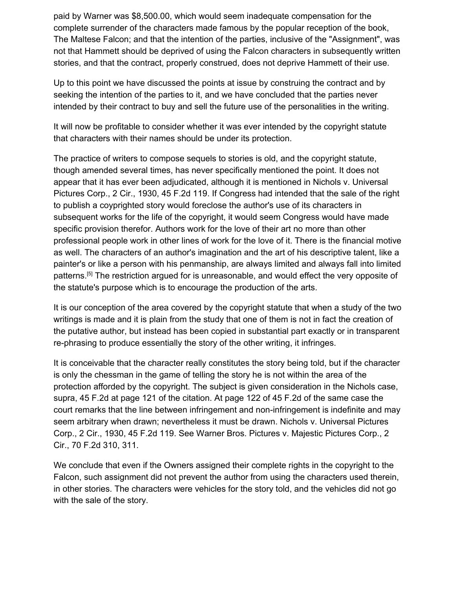paid by Warner was \$8,500.00, which would seem inadequate compensation for the complete surrender of the characters made famous by the popular reception of the book, The Maltese Falcon; and that the intention of the parties, inclusive of the "Assignment", was not that Hammett should be deprived of using the Falcon characters in subsequently written stories, and that the contract, properly construed, does not deprive Hammett of their use.

Up to this point we have discussed the points at issue by construing the contract and by seeking the intention of the parties to it, and we have concluded that the parties never intended by their contract to buy and sell the future use of the personalities in the writing.

It will now be profitable to consider whether it was ever intended by the copyright statute that characters with their names should be under its protection.

The practice of writers to compose sequels to stories is old, and the copyright statute, though amended several times, has never specifically mentioned the point. It does not appear that it has ever been adjudicated, although it is mentioned in Nichols v. Universal Pictures Corp., 2 Cir., 1930, 45 F.2d 119. If Congress had intended that the sale of the right to publish a coyprighted story would foreclose the author's use of its characters in subsequent works for the life of the copyright, it would seem Congress would have made specific provision therefor. Authors work for the love of their art no more than other professional people work in other lines of work for the love of it. There is the financial motive as well. The characters of an author's imagination and the art of his descriptive talent, like a painter's or like a person with his penmanship, are always limited and always fall into limited patterns.<sup>[5]</sup> The restriction argued for is unreasonable, and would effect the very opposite of the statute's purpose which is to encourage the production of the arts.

It is our conception of the area covered by the copyright statute that when a study of the two writings is made and it is plain from the study that one of them is not in fact the creation of the putative author, but instead has been copied in substantial part exactly or in transparent re-phrasing to produce essentially the story of the other writing, it infringes.

It is conceivable that the character really constitutes the story being told, but if the character is only the chessman in the game of telling the story he is not within the area of the protection afforded by the copyright. The subject is given consideration in the Nichols case, supra, 45 F.2d at page 121 of the citation. At page 122 of 45 F.2d of the same case the court remarks that the line between infringement and non-infringement is indefinite and may seem arbitrary when drawn; nevertheless it must be drawn. Nichols v. Universal Pictures Corp., 2 Cir., 1930, 45 F.2d 119. See Warner Bros. Pictures v. Majestic Pictures Corp., 2 Cir., 70 F.2d 310, 311.

We conclude that even if the Owners assigned their complete rights in the copyright to the Falcon, such assignment did not prevent the author from using the characters used therein, in other stories. The characters were vehicles for the story told, and the vehicles did not go with the sale of the story.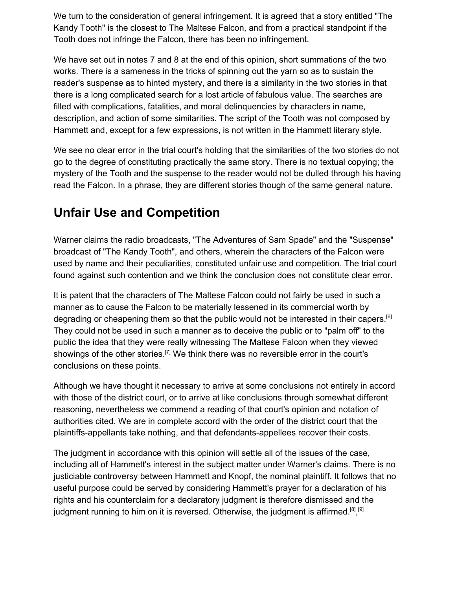We turn to the consideration of general infringement. It is agreed that a story entitled "The Kandy Tooth" is the closest to The Maltese Falcon, and from a practical standpoint if the Tooth does not infringe the Falcon, there has been no infringement.

We have set out in notes 7 and 8 at the end of this opinion, short summations of the two works. There is a sameness in the tricks of spinning out the yarn so as to sustain the reader's suspense as to hinted mystery, and there is a similarity in the two stories in that there is a long complicated search for a lost article of fabulous value. The searches are filled with complications, fatalities, and moral delinquencies by characters in name, description, and action of some similarities. The script of the Tooth was not composed by Hammett and, except for a few expressions, is not written in the Hammett literary style.

We see no clear error in the trial court's holding that the similarities of the two stories do not go to the degree of constituting practically the same story. There is no textual copying; the mystery of the Tooth and the suspense to the reader would not be dulled through his having read the Falcon. In a phrase, they are different stories though of the same general nature.

## **Unfair Use and Competition**

Warner claims the radio broadcasts, "The Adventures of Sam Spade" and the "Suspense" broadcast of "The Kandy Tooth", and others, wherein the characters of the Falcon were used by name and their peculiarities, constituted unfair use and competition. The trial court found against such contention and we think the conclusion does not constitute clear error.

It is patent that the characters of The Maltese Falcon could not fairly be used in such a manner as to cause the Falcon to be materially lessened in its commercial worth by degrading or cheapening them so that the public would not be interested in their capers.<sup>[6]</sup> They could not be used in such a manner as to deceive the public or to "palm off" to the public the idea that they were really witnessing The Maltese Falcon when they viewed showings of the other stories.<sup>[7]</sup> We think there was no reversible error in the court's conclusions on these points.

Although we have thought it necessary to arrive at some conclusions not entirely in accord with those of the district court, or to arrive at like conclusions through somewhat different reasoning, nevertheless we commend a reading of that court's opinion and notation of authorities cited. We are in complete accord with the order of the district court that the plaintiffs-appellants take nothing, and that defendants-appellees recover their costs.

The judgment in accordance with this opinion will settle all of the issues of the case, including all of Hammett's interest in the subject matter under Warner's claims. There is no justiciable controversy between Hammett and Knopf, the nominal plaintiff. It follows that no useful purpose could be served by considering Hammett's prayer for a declaration of his rights and his counterclaim for a declaratory judgment is therefore dismissed and the judgment running to him on it is reversed. Otherwise, the judgment is affirmed.<sup>[8]</sup>,<sup>[9]</sup>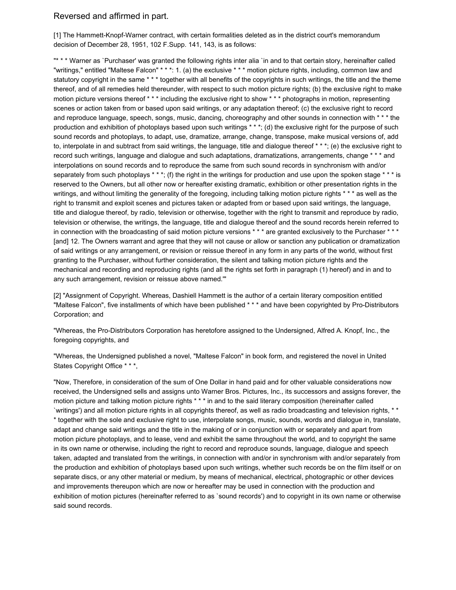## Reversed and affirmed in part.

[1] The Hammett-Knopf-Warner contract, with certain formalities deleted as in the district court's memorandum decision of December 28, 1951, 102 F.Supp. 141, 143, is as follows:

"\* \* \* Warner as `Purchaser' was granted the following rights inter alia `in and to that certain story, hereinafter called "writings," entitled "Maltese Falcon" \* \* \*: 1. (a) the exclusive \* \* \* motion picture rights, including, common law and statutory copyright in the same \* \* \* together with all benefits of the copyrights in such writings, the title and the theme thereof, and of all remedies held thereunder, with respect to such motion picture rights; (b) the exclusive right to make motion picture versions thereof \* \* \* including the exclusive right to show \* \* \* photographs in motion, representing scenes or action taken from or based upon said writings, or any adaptation thereof; (c) the exclusive right to record and reproduce language, speech, songs, music, dancing, choreography and other sounds in connection with \* \* \* the production and exhibition of photoplays based upon such writings \* \* \*; (d) the exclusive right for the purpose of such sound records and photoplays, to adapt, use, dramatize, arrange, change, transpose, make musical versions of, add to, interpolate in and subtract from said writings, the language, title and dialogue thereof \* \* \*; (e) the exclusive right to record such writings, language and dialogue and such adaptations, dramatizations, arrangements, change \* \* \* and interpolations on sound records and to reproduce the same from such sound records in synchronism with and/or separately from such photoplays  $* *$ ; (f) the right in the writings for production and use upon the spoken stage  $* * *$  is reserved to the Owners, but all other now or hereafter existing dramatic, exhibition or other presentation rights in the writings, and without limiting the generality of the foregoing, including talking motion picture rights \* \* \* as well as the right to transmit and exploit scenes and pictures taken or adapted from or based upon said writings, the language, title and dialogue thereof, by radio, television or otherwise, together with the right to transmit and reproduce by radio, television or otherwise, the writings, the language, title and dialogue thereof and the sound records herein referred to in connection with the broadcasting of said motion picture versions \* \* \* are granted exclusively to the Purchaser \* \* \* [and] 12. The Owners warrant and agree that they will not cause or allow or sanction any publication or dramatization of said writings or any arrangement, or revision or reissue thereof in any form in any parts of the world, without first granting to the Purchaser, without further consideration, the silent and talking motion picture rights and the mechanical and recording and reproducing rights (and all the rights set forth in paragraph (1) hereof) and in and to any such arrangement, revision or reissue above named.'"

[2] "Assignment of Copyright. Whereas, Dashiell Hammett is the author of a certain literary composition entitled "Maltese Falcon", five installments of which have been published \* \* \* and have been copyrighted by Pro-Distributors Corporation; and

"Whereas, the Pro-Distributors Corporation has heretofore assigned to the Undersigned, Alfred A. Knopf, Inc., the foregoing copyrights, and

"Whereas, the Undersigned published a novel, "Maltese Falcon" in book form, and registered the novel in United States Copyright Office \* \* \*,

"Now, Therefore, in consideration of the sum of One Dollar in hand paid and for other valuable considerations now received, the Undersigned sells and assigns unto Warner Bros. Pictures, Inc., its successors and assigns forever, the motion picture and talking motion picture rights \* \* \* in and to the said literary composition (hereinafter called `writings') and all motion picture rights in all copyrights thereof, as well as radio broadcasting and television rights, \* \* \* together with the sole and exclusive right to use, interpolate songs, music, sounds, words and dialogue in, translate, adapt and change said writings and the title in the making of or in conjunction with or separately and apart from motion picture photoplays, and to lease, vend and exhibit the same throughout the world, and to copyright the same in its own name or otherwise, including the right to record and reproduce sounds, language, dialogue and speech taken, adapted and translated from the writings, in connection with and/or in synchronism with and/or separately from the production and exhibition of photoplays based upon such writings, whether such records be on the film itself or on separate discs, or any other material or medium, by means of mechanical, electrical, photographic or other devices and improvements thereupon which are now or hereafter may be used in connection with the production and exhibition of motion pictures (hereinafter referred to as `sound records') and to copyright in its own name or otherwise said sound records.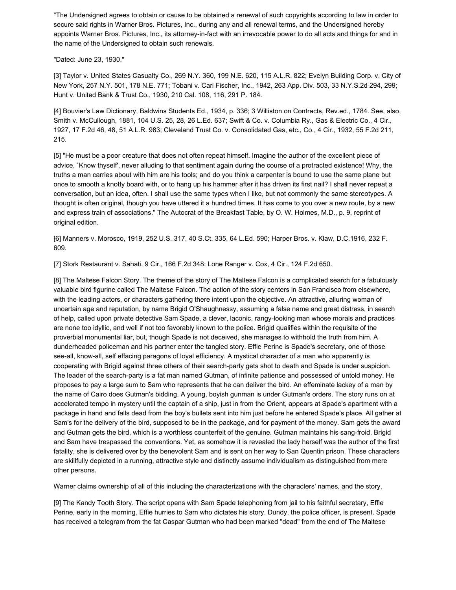"The Undersigned agrees to obtain or cause to be obtained a renewal of such copyrights according to law in order to secure said rights in Warner Bros. Pictures, Inc., during any and all renewal terms, and the Undersigned hereby appoints Warner Bros. Pictures, Inc., its attorney-in-fact with an irrevocable power to do all acts and things for and in the name of the Undersigned to obtain such renewals.

"Dated: June 23, 1930."

[3] Taylor v. United States Casualty Co., 269 N.Y. 360, 199 N.E. 620, 115 A.L.R. 822; Evelyn Building Corp. v. City of New York, 257 N.Y. 501, 178 N.E. 771; Tobani v. Carl Fischer, Inc., 1942, 263 App. Div. 503, 33 N.Y.S.2d 294, 299; Hunt v. United Bank & Trust Co., 1930, 210 Cal. 108, 116, 291 P. 184.

[4] Bouvier's Law Dictionary, Baldwins Students Ed., 1934, p. 336; 3 Williston on Contracts, Rev.ed., 1784. See, also, Smith v. McCullough, 1881, 104 U.S. 25, 28, 26 L.Ed. 637; Swift & Co. v. Columbia Ry., Gas & Electric Co., 4 Cir., 1927, 17 F.2d 46, 48, 51 A.L.R. 983; Cleveland Trust Co. v. Consolidated Gas, etc., Co., 4 Cir., 1932, 55 F.2d 211, 215.

[5] "He must be a poor creature that does not often repeat himself. Imagine the author of the excellent piece of advice, `Know thyself', never alluding to that sentiment again during the course of a protracted existence! Why, the truths a man carries about with him are his tools; and do you think a carpenter is bound to use the same plane but once to smooth a knotty board with, or to hang up his hammer after it has driven its first nail? I shall never repeat a conversation, but an idea, often. I shall use the same types when I like, but not commonly the same stereotypes. A thought is often original, though you have uttered it a hundred times. It has come to you over a new route, by a new and express train of associations." The Autocrat of the Breakfast Table, by O. W. Holmes, M.D., p. 9, reprint of original edition.

[6] Manners v. Morosco, 1919, 252 U.S. 317, 40 S.Ct. 335, 64 L.Ed. 590; Harper Bros. v. Klaw, D.C.1916, 232 F. 609.

[7] Stork Restaurant v. Sahati, 9 Cir., 166 F.2d 348; Lone Ranger v. Cox, 4 Cir., 124 F.2d 650.

[8] The Maltese Falcon Story. The theme of the story of The Maltese Falcon is a complicated search for a fabulously valuable bird figurine called The Maltese Falcon. The action of the story centers in San Francisco from elsewhere, with the leading actors, or characters gathering there intent upon the objective. An attractive, alluring woman of uncertain age and reputation, by name Brigid O'Shaughnessy, assuming a false name and great distress, in search of help, called upon private detective Sam Spade, a clever, laconic, rangy-looking man whose morals and practices are none too idyllic, and well if not too favorably known to the police. Brigid qualifies within the requisite of the proverbial monumental liar, but, though Spade is not deceived, she manages to withhold the truth from him. A dunderheaded policeman and his partner enter the tangled story. Effie Perine is Spade's secretary, one of those see-all, know-all, self effacing paragons of loyal efficiency. A mystical character of a man who apparently is cooperating with Brigid against three others of their search-party gets shot to death and Spade is under suspicion. The leader of the search-party is a fat man named Gutman, of infinite patience and possessed of untold money. He proposes to pay a large sum to Sam who represents that he can deliver the bird. An effeminate lackey of a man by the name of Cairo does Gutman's bidding. A young, boyish gunman is under Gutman's orders. The story runs on at accelerated tempo in mystery until the captain of a ship, just in from the Orient, appears at Spade's apartment with a package in hand and falls dead from the boy's bullets sent into him just before he entered Spade's place. All gather at Sam's for the delivery of the bird, supposed to be in the package, and for payment of the money. Sam gets the award and Gutman gets the bird, which is a worthless counterfeit of the genuine. Gutman maintains his sang-froid. Brigid and Sam have trespassed the conventions. Yet, as somehow it is revealed the lady herself was the author of the first fatality, she is delivered over by the benevolent Sam and is sent on her way to San Quentin prison. These characters are skillfully depicted in a running, attractive style and distinctly assume individualism as distinguished from mere other persons.

Warner claims ownership of all of this including the characterizations with the characters' names, and the story.

[9] The Kandy Tooth Story. The script opens with Sam Spade telephoning from jail to his faithful secretary, Effie Perine, early in the morning. Effie hurries to Sam who dictates his story. Dundy, the police officer, is present. Spade has received a telegram from the fat Caspar Gutman who had been marked "dead" from the end of The Maltese